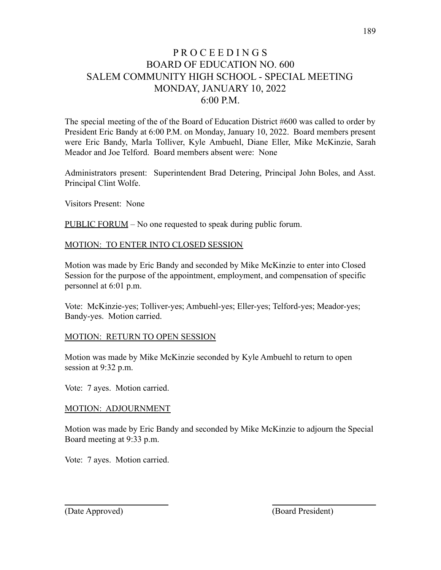## P R O C E E D I N G S BOARD OF EDUCATION NO. 600 SALEM COMMUNITY HIGH SCHOOL - SPECIAL MEETING MONDAY, JANUARY 10, 2022 6:00 P.M.

The special meeting of the of the Board of Education District #600 was called to order by President Eric Bandy at 6:00 P.M. on Monday, January 10, 2022. Board members present were Eric Bandy, Marla Tolliver, Kyle Ambuehl, Diane Eller, Mike McKinzie, Sarah Meador and Joe Telford. Board members absent were: None

Administrators present: Superintendent Brad Detering, Principal John Boles, and Asst. Principal Clint Wolfe.

Visitors Present: None

PUBLIC FORUM – No one requested to speak during public forum.

## MOTION: TO ENTER INTO CLOSED SESSION

Motion was made by Eric Bandy and seconded by Mike McKinzie to enter into Closed Session for the purpose of the appointment, employment, and compensation of specific personnel at 6:01 p.m.

Vote: McKinzie-yes; Tolliver-yes; Ambuehl-yes; Eller-yes; Telford-yes; Meador-yes; Bandy-yes. Motion carried.

## MOTION: RETURN TO OPEN SESSION

Motion was made by Mike McKinzie seconded by Kyle Ambuehl to return to open session at 9:32 p.m.

Vote: 7 ayes. Motion carried.

## MOTION: ADJOURNMENT

Motion was made by Eric Bandy and seconded by Mike McKinzie to adjourn the Special Board meeting at 9:33 p.m.

Vote: 7 ayes. Motion carried.

(Date Approved) (Board President)